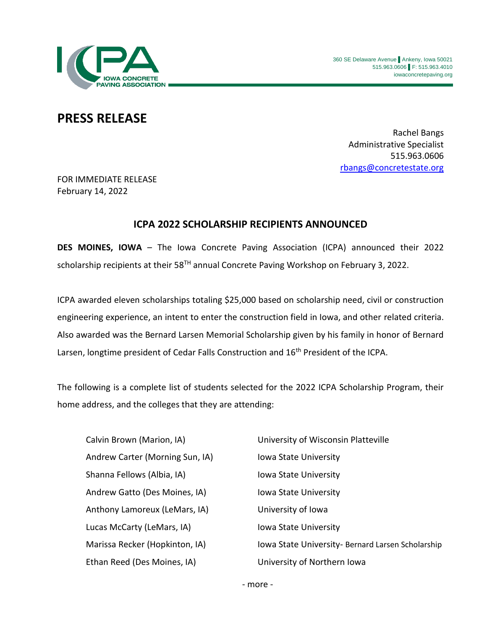

## **PRESS RELEASE**

Rachel Bangs Administrative Specialist 515.963.0606 [rbangs@concretestate.org](mailto:rbangs@concretestate.org)

FOR IMMEDIATE RELEASE February 14, 2022

## **ICPA 2022 SCHOLARSHIP RECIPIENTS ANNOUNCED**

**DES MOINES, IOWA** – The Iowa Concrete Paving Association (ICPA) announced their 2022 scholarship recipients at their 58<sup>TH</sup> annual Concrete Paving Workshop on February 3, 2022.

ICPA awarded eleven scholarships totaling \$25,000 based on scholarship need, civil or construction engineering experience, an intent to enter the construction field in Iowa, and other related criteria. Also awarded was the Bernard Larsen Memorial Scholarship given by his family in honor of Bernard Larsen, longtime president of Cedar Falls Construction and 16<sup>th</sup> President of the ICPA.

The following is a complete list of students selected for the 2022 ICPA Scholarship Program, their home address, and the colleges that they are attending:

Andrew Carter (Morning Sun, IA) Iowa State University Shanna Fellows (Albia, IA) Iowa State University Andrew Gatto (Des Moines, IA) Iowa State University Anthony Lamoreux (LeMars, IA) University of Iowa Lucas McCarty (LeMars, IA) Iowa State University Ethan Reed (Des Moines, IA) University of Northern Iowa

Calvin Brown (Marion, IA) University of Wisconsin Platteville Marissa Recker (Hopkinton, IA) Iowa State University- Bernard Larsen Scholarship

- more -